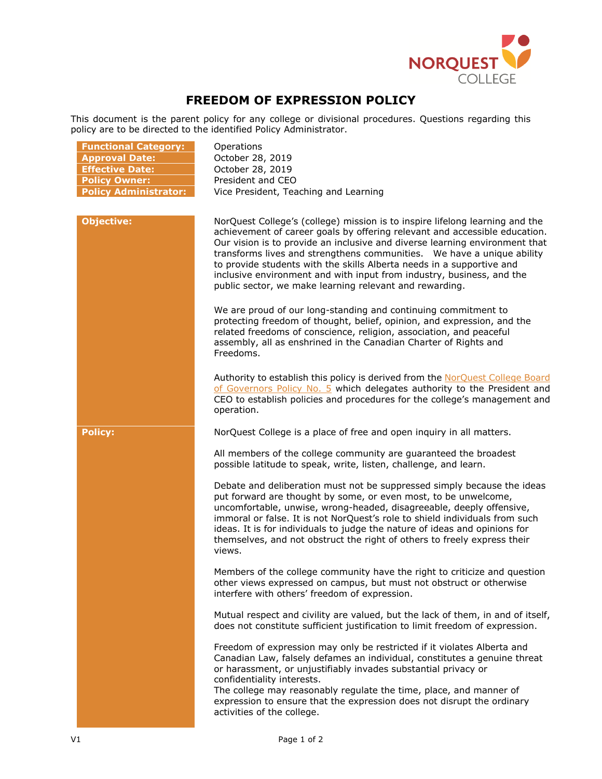

## **FREEDOM OF EXPRESSION POLICY**

This document is the parent policy for any college or divisional procedures. Questions regarding this policy are to be directed to the identified Policy Administrator.

| <b>Functional Category:</b><br><b>Approval Date:</b><br><b>Effective Date:</b><br><b>Policy Owner:</b><br><b>Policy Administrator:</b> | Operations<br>October 28, 2019<br>October 28, 2019<br>President and CEO<br>Vice President, Teaching and Learning                                                                                                                                                                                                                                                                                                                                                                                                                  |
|----------------------------------------------------------------------------------------------------------------------------------------|-----------------------------------------------------------------------------------------------------------------------------------------------------------------------------------------------------------------------------------------------------------------------------------------------------------------------------------------------------------------------------------------------------------------------------------------------------------------------------------------------------------------------------------|
| <b>Objective:</b>                                                                                                                      | NorQuest College's (college) mission is to inspire lifelong learning and the<br>achievement of career goals by offering relevant and accessible education.<br>Our vision is to provide an inclusive and diverse learning environment that<br>transforms lives and strengthens communities.  We have a unique ability<br>to provide students with the skills Alberta needs in a supportive and<br>inclusive environment and with input from industry, business, and the<br>public sector, we make learning relevant and rewarding. |
|                                                                                                                                        | We are proud of our long-standing and continuing commitment to<br>protecting freedom of thought, belief, opinion, and expression, and the<br>related freedoms of conscience, religion, association, and peaceful<br>assembly, all as enshrined in the Canadian Charter of Rights and<br>Freedoms.                                                                                                                                                                                                                                 |
|                                                                                                                                        | Authority to establish this policy is derived from the NorQuest College Board<br>of Governors Policy No. 5 which delegates authority to the President and<br>CEO to establish policies and procedures for the college's management and<br>operation.                                                                                                                                                                                                                                                                              |
| <b>Policy:</b>                                                                                                                         | NorQuest College is a place of free and open inquiry in all matters.                                                                                                                                                                                                                                                                                                                                                                                                                                                              |
|                                                                                                                                        | All members of the college community are guaranteed the broadest<br>possible latitude to speak, write, listen, challenge, and learn.                                                                                                                                                                                                                                                                                                                                                                                              |
|                                                                                                                                        | Debate and deliberation must not be suppressed simply because the ideas<br>put forward are thought by some, or even most, to be unwelcome,<br>uncomfortable, unwise, wrong-headed, disagreeable, deeply offensive,<br>immoral or false. It is not NorQuest's role to shield individuals from such<br>ideas. It is for individuals to judge the nature of ideas and opinions for<br>themselves, and not obstruct the right of others to freely express their<br>views.                                                             |
|                                                                                                                                        | Members of the college community have the right to criticize and question<br>other views expressed on campus, but must not obstruct or otherwise<br>interfere with others' freedom of expression.                                                                                                                                                                                                                                                                                                                                 |
|                                                                                                                                        | Mutual respect and civility are valued, but the lack of them, in and of itself,<br>does not constitute sufficient justification to limit freedom of expression.                                                                                                                                                                                                                                                                                                                                                                   |
|                                                                                                                                        | Freedom of expression may only be restricted if it violates Alberta and<br>Canadian Law, falsely defames an individual, constitutes a genuine threat<br>or harassment, or unjustifiably invades substantial privacy or<br>confidentiality interests.<br>The college may reasonably regulate the time, place, and manner of<br>expression to ensure that the expression does not disrupt the ordinary<br>activities of the college.                                                                                                |